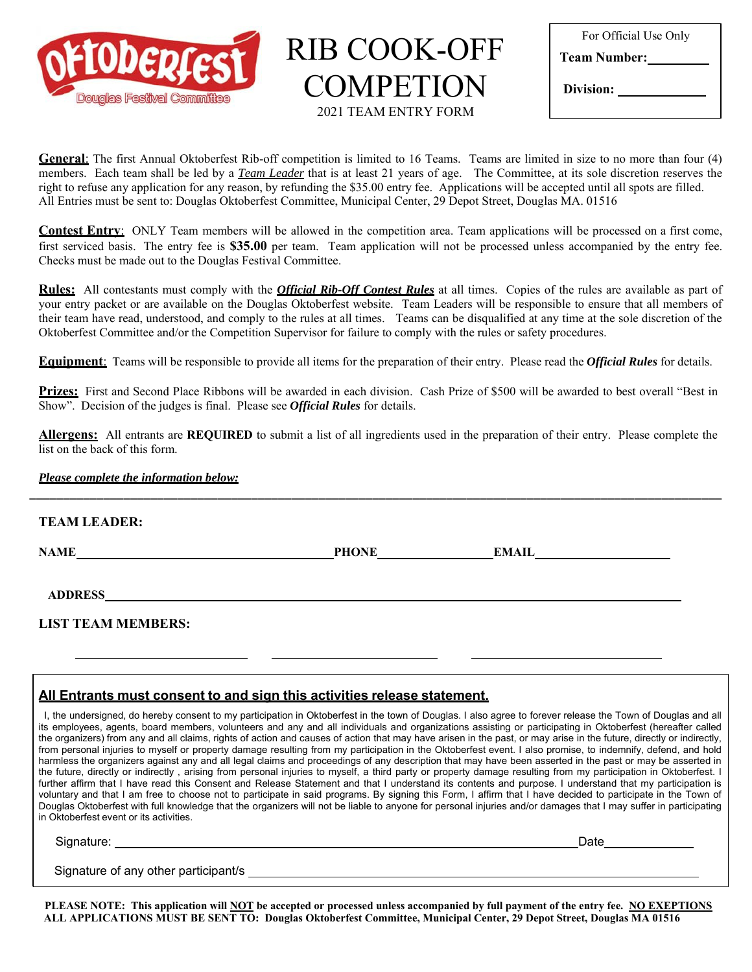

RIB COOK-OFF COMPETION 2021 TEAM ENTRY FORM

| For Official Use Only |  |  |
|-----------------------|--|--|
| <b>Team Number:</b>   |  |  |
| Division:             |  |  |

**General**: The first Annual Oktoberfest Rib-off competition is limited to 16 Teams. Teams are limited in size to no more than four (4) members. Each team shall be led by a *Team Leader* that is at least 21 years of age. The Committee, at its sole discretion reserves the right to refuse any application for any reason, by refunding the \$35.00 entry fee. Applications will be accepted until all spots are filled. All Entries must be sent to: Douglas Oktoberfest Committee, Municipal Center, 29 Depot Street, Douglas MA. 01516

**Contest Entry**: ONLY Team members will be allowed in the competition area. Team applications will be processed on a first come, first serviced basis. The entry fee is **\$35.00** per team. Team application will not be processed unless accompanied by the entry fee. Checks must be made out to the Douglas Festival Committee.

**Rules:** All contestants must comply with the *Official Rib-Off Contest Rules* at all times. Copies of the rules are available as part of your entry packet or are available on the Douglas Oktoberfest website. Team Leaders will be responsible to ensure that all members of their team have read, understood, and comply to the rules at all times. Teams can be disqualified at any time at the sole discretion of the Oktoberfest Committee and/or the Competition Supervisor for failure to comply with the rules or safety procedures.

**Equipment**: Teams will be responsible to provide all items for the preparation of their entry. Please read the *Official Rules* for details.

**Prizes:** First and Second Place Ribbons will be awarded in each division. Cash Prize of \$500 will be awarded to best overall "Best in Show". Decision of the judges is final. Please see *Official Rules* for details.

**Allergens:** All entrants are **REQUIRED** to submit a list of all ingredients used in the preparation of their entry. Please complete the list on the back of this form.

\_\_\_\_\_\_\_\_\_\_\_\_\_\_\_\_\_\_\_\_\_\_\_\_\_\_\_\_\_\_\_\_\_\_\_\_\_\_\_\_\_\_\_\_\_\_\_\_\_\_\_\_\_\_\_\_\_\_\_\_\_\_\_\_\_\_\_\_\_\_\_\_\_\_\_\_\_\_\_\_\_\_\_\_\_\_\_\_\_\_\_\_\_\_\_\_\_\_\_\_\_\_\_

## *Please complete the information below:*

## **TEAM LEADER:**

**NAME PHONE EMAIL**

**ADDRESS**

## **LIST TEAM MEMBERS:**

## **All Entrants must consent to and sign this activities release statement.**

I, the undersigned, do hereby consent to my participation in Oktoberfest in the town of Douglas. I also agree to forever release the Town of Douglas and all its employees, agents, board members, volunteers and any and all individuals and organizations assisting or participating in Oktoberfest (hereafter called the organizers) from any and all claims, rights of action and causes of action that may have arisen in the past, or may arise in the future, directly or indirectly, from personal injuries to myself or property damage resulting from my participation in the Oktoberfest event. I also promise, to indemnify, defend, and hold harmless the organizers against any and all legal claims and proceedings of any description that may have been asserted in the past or may be asserted in the future, directly or indirectly , arising from personal injuries to myself, a third party or property damage resulting from my participation in Oktoberfest. I further affirm that I have read this Consent and Release Statement and that I understand its contents and purpose. I understand that my participation is voluntary and that I am free to choose not to participate in said programs. By signing this Form, I affirm that I have decided to participate in the Town of Douglas Oktoberfest with full knowledge that the organizers will not be liable to anyone for personal injuries and/or damages that I may suffer in participating in Oktoberfest event or its activities.

Signature: Date Date of the Contract of the Contract of the Contract of the Contract of the Date Date of the Contract of the Contract of the Contract of the Contract of the Contract of the Contract of the Contract of the C

Signature of any other participant/s

**PLEASE NOTE: This application will NOT be accepted or processed unless accompanied by full payment of the entry fee. NO EXEPTIONS ALL APPLICATIONS MUST BE SENT TO: Douglas Oktoberfest Committee, Municipal Center, 29 Depot Street, Douglas MA 01516**